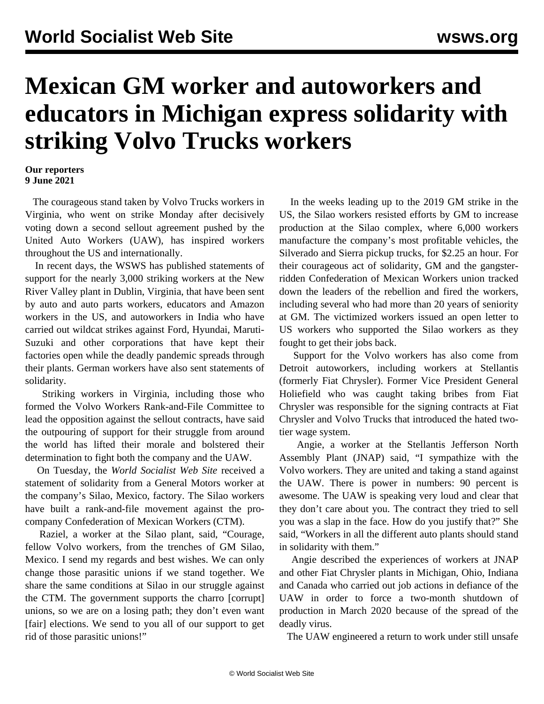## **Mexican GM worker and autoworkers and educators in Michigan express solidarity with striking Volvo Trucks workers**

## **Our reporters 9 June 2021**

 The courageous stand taken by Volvo Trucks workers in Virginia, who went on strike Monday after decisively voting down a second sellout agreement pushed by the United Auto Workers (UAW), has inspired workers throughout the US and internationally.

 In recent days, the WSWS has published statements of support for the nearly 3,000 striking workers at the New River Valley plant in Dublin, Virginia, that have been sent by [auto](/en/articles/2021/06/08/supp-j08.html) and [auto parts](/en/articles/2021/06/09/dana-j09.html) workers, educators and [Amazon](/en/articles/2021/06/05/amaz-j05.html) workers in the US, and autoworkers in [India](/en/articles/2021/06/09/indi-j09.html) who have carried out wildcat strikes against Ford, Hyundai, Maruti-Suzuki and other corporations that have kept their factories open while the deadly pandemic spreads through their plants. [German workers](/en/articles/2021/06/10/germ-j10.html) have also sent statements of solidarity.

 Striking workers in Virginia, including those who formed the Volvo Workers Rank-and-File Committee to lead the opposition against the sellout contracts, have said the outpouring of support for their struggle from around the world has lifted their morale and bolstered their determination to fight both the company and the UAW.

 On Tuesday, the *World Socialist Web Site* received a statement of solidarity from a General Motors worker at the company's Silao, Mexico, factory. The Silao workers have built a rank-and-file movement against the procompany Confederation of Mexican Workers (CTM).

 Raziel, a worker at the Silao plant, said, "Courage, fellow Volvo workers, from the trenches of GM Silao, Mexico. I send my regards and best wishes. We can only change those parasitic unions if we stand together. We share the same conditions at Silao in our struggle against the CTM. The government supports the charro [corrupt] unions, so we are on a losing path; they don't even want [fair] elections. We send to you all of our support to get rid of those parasitic unions!"

 In the weeks leading up to the 2019 GM strike in the US, the Silao workers resisted efforts by GM to increase production at the Silao complex, where 6,000 workers manufacture the company's most profitable vehicles, the Silverado and Sierra pickup trucks, for \$2.25 an hour. For their courageous act of solidarity, GM and the gangsterridden Confederation of Mexican Workers union tracked down the leaders of the rebellion and fired the workers, including several who had more than 20 years of seniority at GM. The victimized workers issued an [open letter](/en/articles/2019/12/11/camp-d11.html) to US workers who supported the Silao workers as they fought to get their jobs back.

 Support for the Volvo workers has also come from Detroit autoworkers, including workers at Stellantis (formerly Fiat Chrysler). Former Vice President General Holiefield who was caught taking bribes from Fiat Chrysler was responsible for the signing contracts at Fiat Chrysler and Volvo Trucks that introduced the hated twotier wage system.

 Angie, a worker at the Stellantis Jefferson North Assembly Plant (JNAP) said, "I sympathize with the Volvo workers. They are united and taking a stand against the UAW. There is power in numbers: 90 percent is awesome. The UAW is speaking very loud and clear that they don't care about you. The contract they tried to sell you was a slap in the face. How do you justify that?" She said, "Workers in all the different auto plants should stand in solidarity with them."

 Angie described the experiences of workers at JNAP and other Fiat Chrysler plants in Michigan, Ohio, Indiana and Canada who carried out job actions in defiance of the UAW in order to force a two-month shutdown of production in March 2020 because of the spread of the deadly virus.

The UAW engineered a return to work under still unsafe